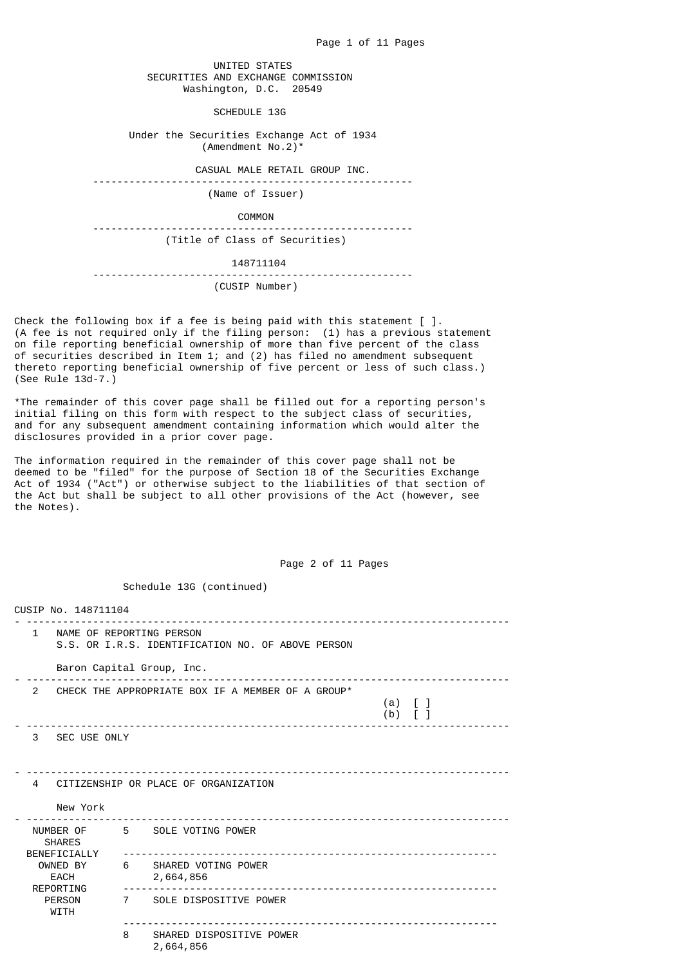UNITED STATES SECURITIES AND EXCHANGE COMMISSION Washington, D.C. 20549

SCHEDULE 13G

 Under the Securities Exchange Act of 1934 (Amendment No.2)\*

CASUAL MALE RETAIL GROUP INC.

 ----------------------------------------------------- (Name of Issuer)

COMMON

 ----------------------------------------------------- (Title of Class of Securities)

148711104

-----------------------------------------------------

(CUSIP Number)

Check the following box if a fee is being paid with this statement  $[ ] .$ (A fee is not required only if the filing person: (1) has a previous statement on file reporting beneficial ownership of more than five percent of the class of securities described in Item 1; and (2) has filed no amendment subsequent thereto reporting beneficial ownership of five percent or less of such class.) (See Rule 13d-7.)

\*The remainder of this cover page shall be filled out for a reporting person's initial filing on this form with respect to the subject class of securities, and for any subsequent amendment containing information which would alter the disclosures provided in a prior cover page.

The information required in the remainder of this cover page shall not be deemed to be "filed" for the purpose of Section 18 of the Securities Exchange Act of 1934 ("Act") or otherwise subject to the liabilities of that section of the Act but shall be subject to all other provisions of the Act (however, see the Notes).

Page 2 of 11 Pages

|                                                                                                             | CUSIP No. 148711104                                                           |   |                                                                              |  |  |  |  |
|-------------------------------------------------------------------------------------------------------------|-------------------------------------------------------------------------------|---|------------------------------------------------------------------------------|--|--|--|--|
| 1                                                                                                           | NAME OF REPORTING PERSON<br>S.S. OR I.R.S. IDENTIFICATION NO. OF ABOVE PERSON |   |                                                                              |  |  |  |  |
|                                                                                                             | Baron Capital Group, Inc.                                                     |   |                                                                              |  |  |  |  |
| $\mathcal{P}$                                                                                               | CHECK THE APPROPRIATE BOX IF A MEMBER OF A GROUP*<br>$(a)$ [ ]<br>$(b)$ [ ]   |   |                                                                              |  |  |  |  |
| 3 SEC USE ONLY                                                                                              |                                                                               |   |                                                                              |  |  |  |  |
| $\Delta$                                                                                                    | New York                                                                      |   | CITIZENSHIP OR PLACE OF ORGANIZATION                                         |  |  |  |  |
| NUMBER OF<br><b>SHARES</b><br>BENEFICIALLY<br>OWNED BY<br><b>EACH</b><br>REPORTING<br><b>PERSON</b><br>WITH |                                                                               |   | 5 SOLE VOTING POWER                                                          |  |  |  |  |
|                                                                                                             |                                                                               |   | 6 SHARED VOTING POWER<br>2,664,856<br>______________________________________ |  |  |  |  |
|                                                                                                             |                                                                               |   | 7 SOLE DISPOSITIVE POWER<br>____________________________________             |  |  |  |  |
|                                                                                                             |                                                                               | 8 | SHARED DISPOSITIVE POWER<br>2,664,856                                        |  |  |  |  |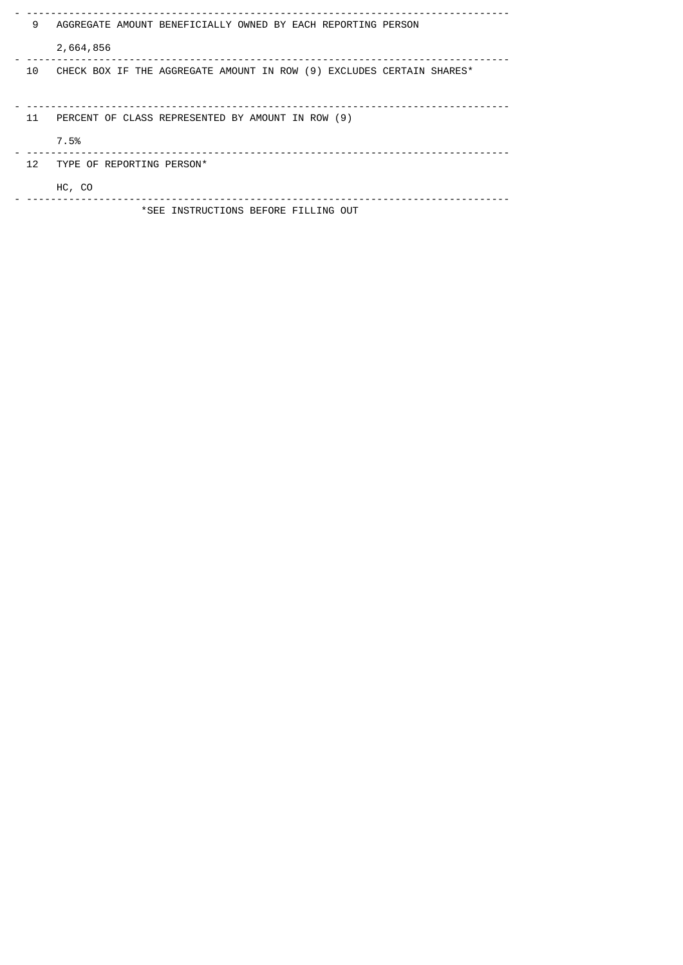| 9               | AGGREGATE AMOUNT BENEFICIALLY OWNED BY EACH REPORTING PERSON          |
|-----------------|-----------------------------------------------------------------------|
|                 | 2,664,856                                                             |
| 10              | CHECK BOX IF THE AGGREGATE AMOUNT IN ROW (9) EXCLUDES CERTAIN SHARES* |
| 11              | PERCENT OF CLASS REPRESENTED BY AMOUNT IN ROW (9)                     |
|                 | 7.5%                                                                  |
| 12 <sup>7</sup> | TYPE OF REPORTING PERSON*                                             |
|                 | HC, CO                                                                |
|                 | *SEE INSTRUCTIONS BEFORE FILLING OUT                                  |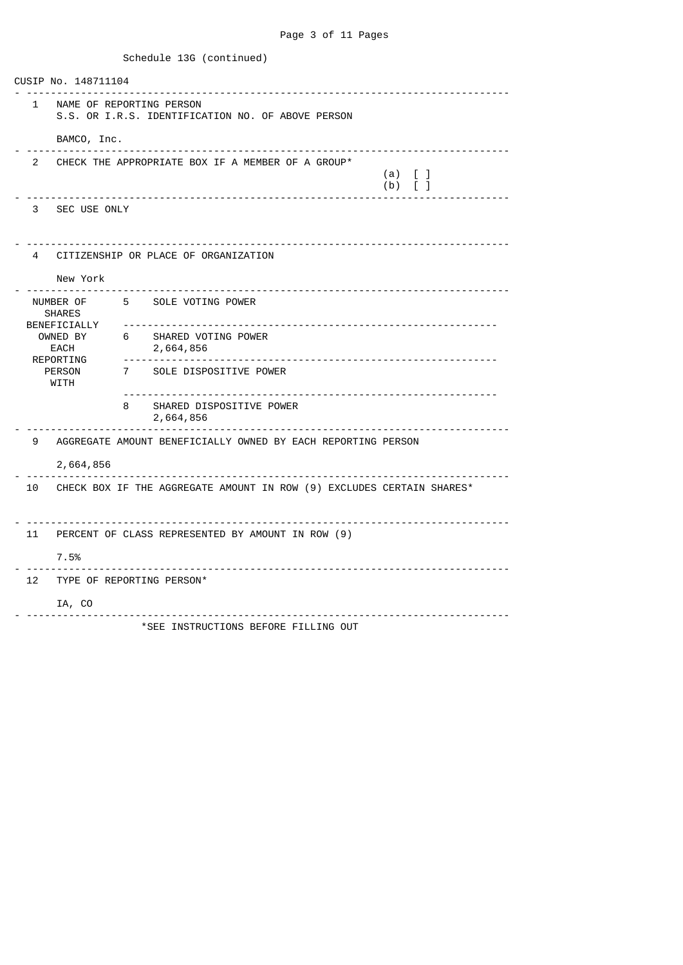| CUSIP No. 148711104                                                                  |  |  |  |  |  |  |
|--------------------------------------------------------------------------------------|--|--|--|--|--|--|
| 1<br>NAME OF REPORTING PERSON<br>S.S. OR I.R.S. IDENTIFICATION NO. OF ABOVE PERSON   |  |  |  |  |  |  |
| BAMCO, Inc.                                                                          |  |  |  |  |  |  |
| 2<br>CHECK THE APPROPRIATE BOX IF A MEMBER OF A GROUP*                               |  |  |  |  |  |  |
| (a)<br>$\begin{bmatrix} 1 \end{bmatrix}$<br>$\begin{bmatrix} 1 \end{bmatrix}$<br>(b) |  |  |  |  |  |  |
| SEC USE ONLY<br>3                                                                    |  |  |  |  |  |  |
| CITIZENSHIP OR PLACE OF ORGANIZATION<br>4                                            |  |  |  |  |  |  |
| New York                                                                             |  |  |  |  |  |  |
| NUMBER OF 5 SOLE VOTING POWER<br><b>SHARES</b><br>BENEFICIALLY                       |  |  |  |  |  |  |
| OWNED BY<br>SHARED VOTING POWER<br>6.<br>EACH<br>2,664,856<br>REPORTING              |  |  |  |  |  |  |
| <b>PERSON</b><br>7 SOLE DISPOSITIVE POWER<br><b>WITH</b>                             |  |  |  |  |  |  |
| 8<br>SHARED DISPOSITIVE POWER<br>2,664,856                                           |  |  |  |  |  |  |
| AGGREGATE AMOUNT BENEFICIALLY OWNED BY EACH REPORTING PERSON<br>9                    |  |  |  |  |  |  |
| 2,664,856                                                                            |  |  |  |  |  |  |
| 10<br>CHECK BOX IF THE AGGREGATE AMOUNT IN ROW (9) EXCLUDES CERTAIN SHARES*          |  |  |  |  |  |  |
| 11<br>PERCENT OF CLASS REPRESENTED BY AMOUNT IN ROW (9)                              |  |  |  |  |  |  |
| 7.5%                                                                                 |  |  |  |  |  |  |
| <u> - - - - - - - - - - - -</u><br>12 <sup>12</sup><br>TYPE OF REPORTING PERSON*     |  |  |  |  |  |  |
| IA, CO                                                                               |  |  |  |  |  |  |
| *SEE INSTRUCTIONS BEFORE FILLING OUT                                                 |  |  |  |  |  |  |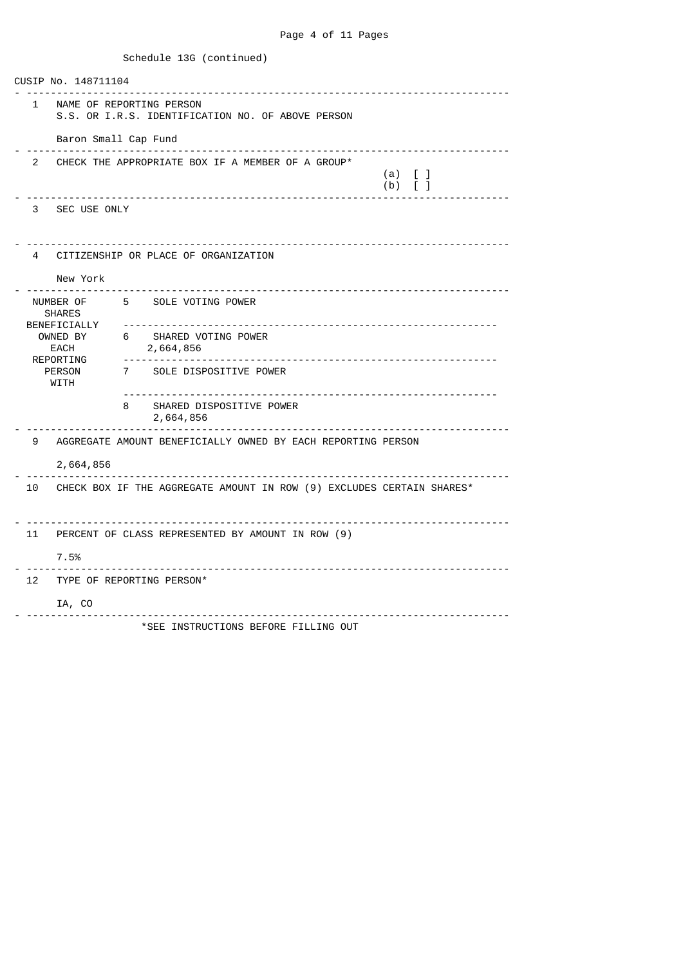CUSIP No. 148711104 - -------------------------------------------------------------------------------- 1 NAME OF REPORTING PERSON S.S. OR I.R.S. IDENTIFICATION NO. OF ABOVE PERSON Baron Small Cap Fund - -------------------------------------------------------------------------------- 2 CHECK THE APPROPRIATE BOX IF A MEMBER OF A GROUP\*  $(a) \quad [ \quad ]$ (b)  $\begin{bmatrix} 1 \end{bmatrix}$ - -------------------------------------------------------------------------------- 3 SEC USE ONLY - -------------------------------------------------------------------------------- 4 CITIZENSHIP OR PLACE OF ORGANIZATION New York - -------------------------------------------------------------------------------- NUMBER OF 5 SOLE VOTING POWER SHARES BENEFICIALLY -------------------------------------------------------------- OWNED BY 6 SHARED VOTING POWER<br>EACH 2.664.856 EACH 2,664,856<br>REPORTING --------------- REPORTING -------------------------------------------------------------- 7 SOLE DISPOSITIVE POWER WITH -------------------------------------------------------------- 8 SHARED DISPOSITIVE POWER 2,664,856 - -------------------------------------------------------------------------------- 9 AGGREGATE AMOUNT BENEFICIALLY OWNED BY EACH REPORTING PERSON 2,664,856 - -------------------------------------------------------------------------------- 10 CHECK BOX IF THE AGGREGATE AMOUNT IN ROW (9) EXCLUDES CERTAIN SHARES\* - -------------------------------------------------------------------------------- PERCENT OF CLASS REPRESENTED BY AMOUNT IN ROW (9) 7.5% - -------------------------------------------------------------------------------- 12 TYPE OF REPORTING PERSON\* IA, CO - -------------------------------------------------------------------------------- \*SEE INSTRUCTIONS BEFORE FILLING OUT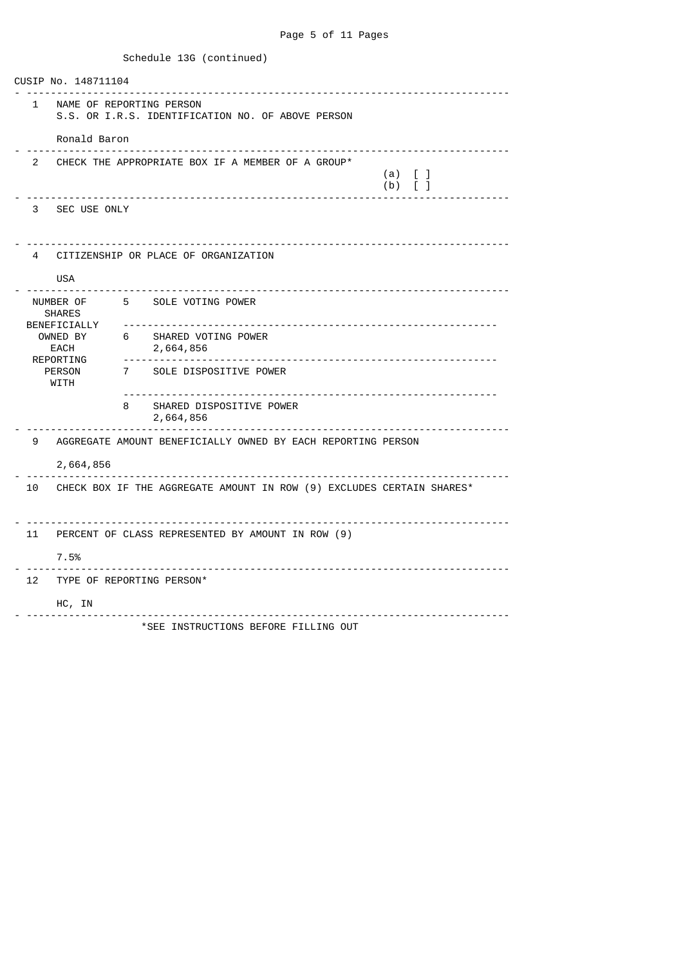CUSIP No. 148711104 - -------------------------------------------------------------------------------- 1 NAME OF REPORTING PERSON S.S. OR I.R.S. IDENTIFICATION NO. OF ABOVE PERSON Ronald Baron - -------------------------------------------------------------------------------- 2 CHECK THE APPROPRIATE BOX IF A MEMBER OF A GROUP\*  $(a) \quad [ \quad ]$ (b)  $\begin{bmatrix} 1 \end{bmatrix}$ - -------------------------------------------------------------------------------- 3 SEC USE ONLY - -------------------------------------------------------------------------------- 4 CITIZENSHIP OR PLACE OF ORGANIZATION USA - -------------------------------------------------------------------------------- NUMBER OF 5 SOLE VOTING POWER SHARES BENEFICIALLY -------------------------------------------------------------- OWNED BY 6 SHARED VOTING POWER EACH 2,664,856 REPORTING -------------------------------------------------------------- 7 SOLE DISPOSITIVE POWER WITH -------------------------------------------------------------- 8 SHARED DISPOSITIVE POWER 2,664,856 - -------------------------------------------------------------------------------- 9 AGGREGATE AMOUNT BENEFICIALLY OWNED BY EACH REPORTING PERSON 2,664,856 - -------------------------------------------------------------------------------- 10 CHECK BOX IF THE AGGREGATE AMOUNT IN ROW (9) EXCLUDES CERTAIN SHARES\* - -------------------------------------------------------------------------------- PERCENT OF CLASS REPRESENTED BY AMOUNT IN ROW (9) 7.5% - -------------------------------------------------------------------------------- 12 TYPE OF REPORTING PERSON\* HC, IN - -------------------------------------------------------------------------------- \*SEE INSTRUCTIONS BEFORE FILLING OUT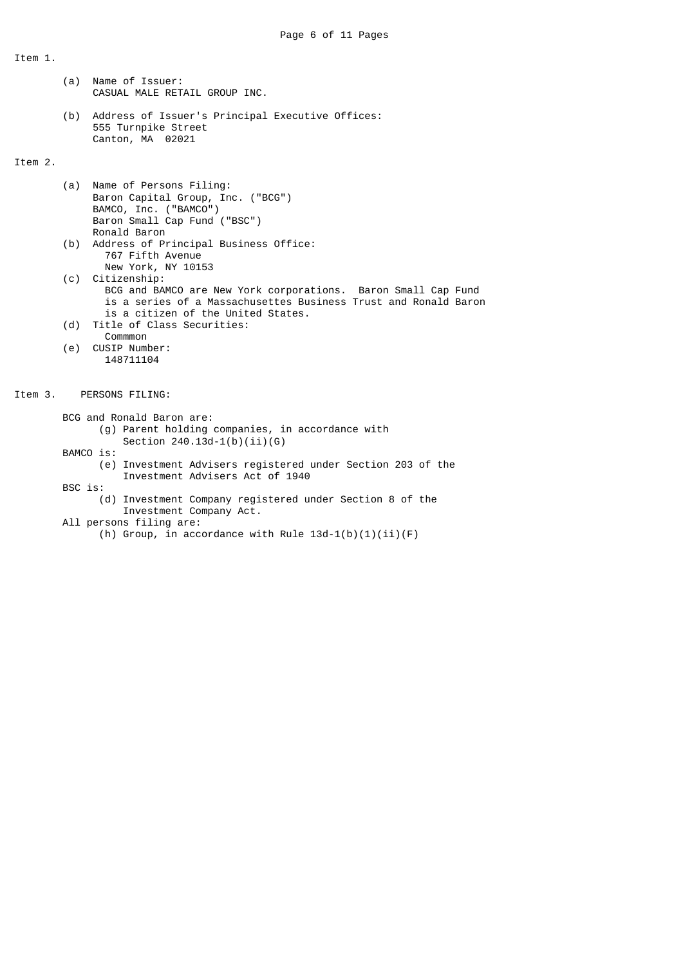Item 1.

- (a) Name of Issuer: CASUAL MALE RETAIL GROUP INC.
- (b) Address of Issuer's Principal Executive Offices: 555 Turnpike Street Canton, MA 02021

## Item 2.

- (a) Name of Persons Filing: Baron Capital Group, Inc. ("BCG") BAMCO, Inc. ("BAMCO") Baron Small Cap Fund ("BSC") Ronald Baron
	- (b) Address of Principal Business Office: 767 Fifth Avenue New York, NY 10153
	- (c) Citizenship: BCG and BAMCO are New York corporations. Baron Small Cap Fund is a series of a Massachusettes Business Trust and Ronald Baron is a citizen of the United States.
	- (d) Title of Class Securities: Commmon
	- (e) CUSIP Number: 148711104

Item 3. PERSONS FILING:

 BCG and Ronald Baron are: (g) Parent holding companies, in accordance with

Section  $240.13d-1(b)(ii)(G)$ 

BAMCO is:

 (e) Investment Advisers registered under Section 203 of the Investment Advisers Act of 1940

BSC is:

 (d) Investment Company registered under Section 8 of the Investment Company Act.

All persons filing are:

(h) Group, in accordance with Rule  $13d-1(b)(1)(ii)(F)$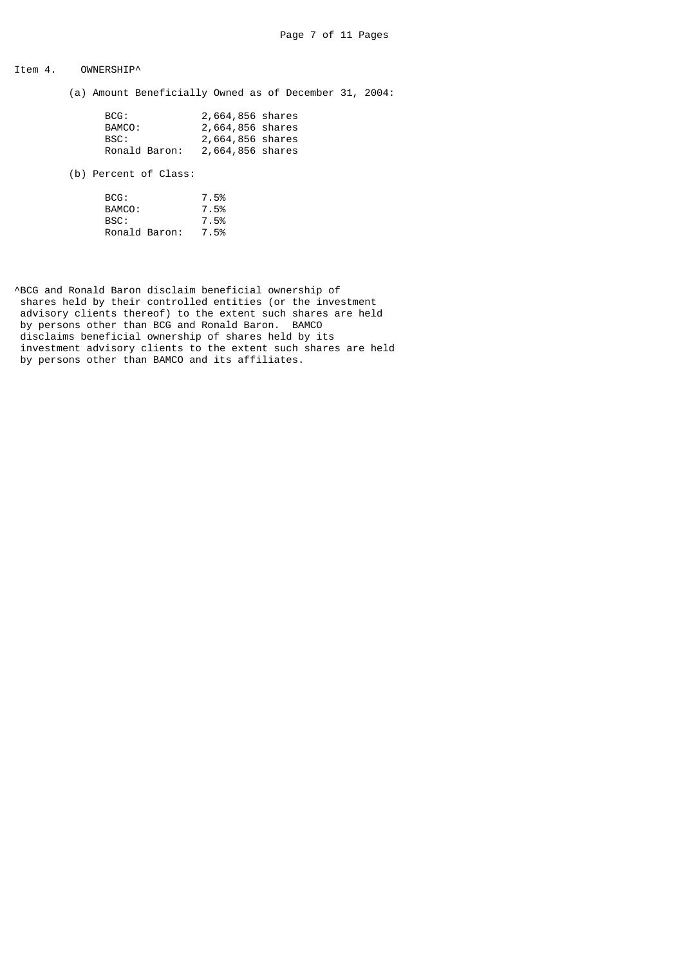# Item 4. OWNERSHIP^

(a) Amount Beneficially Owned as of December 31, 2004:

| BCG :         | 2,664,856 shares |  |
|---------------|------------------|--|
| BAMCO:        | 2,664,856 shares |  |
| BSC:          | 2,664,856 shares |  |
| Ronald Baron: | 2,664,856 shares |  |

(b) Percent of Class:

| BCG :         | 7.5% |
|---------------|------|
| BAMCO:        | 7.5% |
| BSC:          | 7.5% |
| Ronald Baron: | 7.5% |

^BCG and Ronald Baron disclaim beneficial ownership of shares held by their controlled entities (or the investment advisory clients thereof) to the extent such shares are held by persons other than BCG and Ronald Baron. BAMCO disclaims beneficial ownership of shares held by its investment advisory clients to the extent such shares are held by persons other than BAMCO and its affiliates.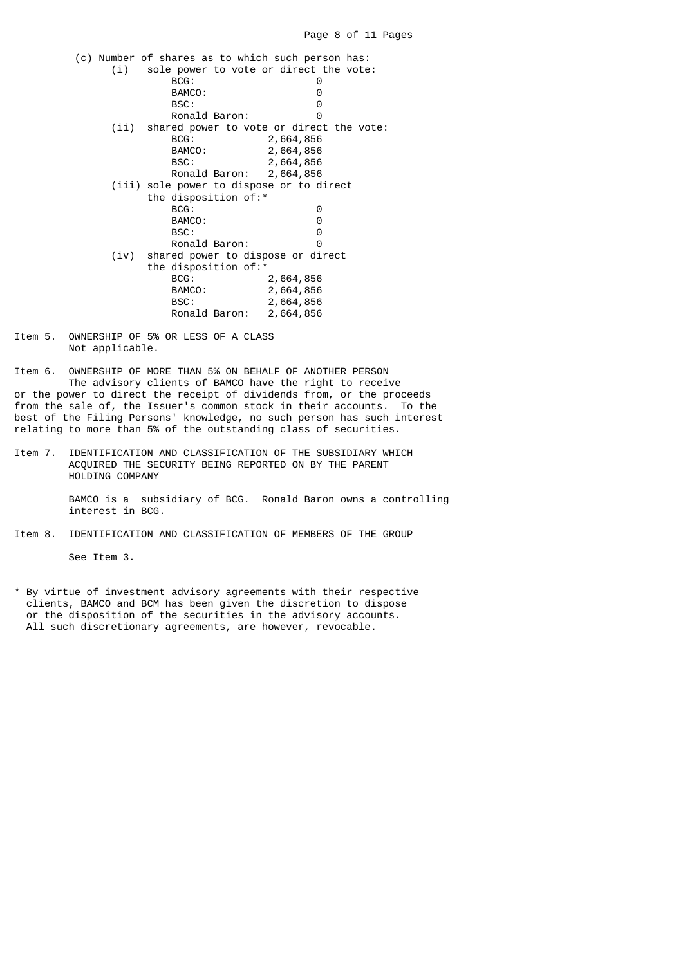|      | (c) Number of shares as to which such person has: |                                               |
|------|---------------------------------------------------|-----------------------------------------------|
| (i)  |                                                   | sole power to vote or direct the vote:        |
|      | BCG:                                              | 0                                             |
|      | BAMCO:                                            | 0                                             |
|      | BSC:                                              | 0                                             |
|      | Ronald Baron:                                     | 0                                             |
|      |                                                   | (ii) shared power to vote or direct the vote: |
|      | BCG:                                              | 2,664,856                                     |
|      | BAMCO:                                            | 2,664,856                                     |
|      | BSC:                                              | 2,664,856                                     |
|      | Ronald Baron:                                     | 2,664,856                                     |
|      | (iii) sole power to dispose or to direct          |                                               |
|      | the disposition of:*                              |                                               |
|      | BCG:                                              | 0                                             |
|      | BAMCO:                                            | 0                                             |
|      | BSC:                                              | 0                                             |
|      | Ronald Baron:                                     | 0                                             |
| (iv) | shared power to dispose or direct                 |                                               |
|      | the disposition of:*                              |                                               |
|      | BCG:                                              | 2,664,856                                     |
|      | BAMCO:                                            | 2,664,856                                     |
|      | BSC:                                              | 2,664,856                                     |
|      | Ronald Baron:                                     | 2,664,856                                     |
|      |                                                   |                                               |

Item 5. OWNERSHIP OF 5% OR LESS OF A CLASS Not applicable.

Item 6. OWNERSHIP OF MORE THAN 5% ON BEHALF OF ANOTHER PERSON The advisory clients of BAMCO have the right to receive or the power to direct the receipt of dividends from, or the proceeds from the sale of, the Issuer's common stock in their accounts. To the best of the Filing Persons' knowledge, no such person has such interest relating to more than 5% of the outstanding class of securities.

Item 7. IDENTIFICATION AND CLASSIFICATION OF THE SUBSIDIARY WHICH ACQUIRED THE SECURITY BEING REPORTED ON BY THE PARENT HOLDING COMPANY

> BAMCO is a subsidiary of BCG. Ronald Baron owns a controlling interest in BCG.

Item 8. IDENTIFICATION AND CLASSIFICATION OF MEMBERS OF THE GROUP

See Item 3.

\* By virtue of investment advisory agreements with their respective clients, BAMCO and BCM has been given the discretion to dispose or the disposition of the securities in the advisory accounts. All such discretionary agreements, are however, revocable.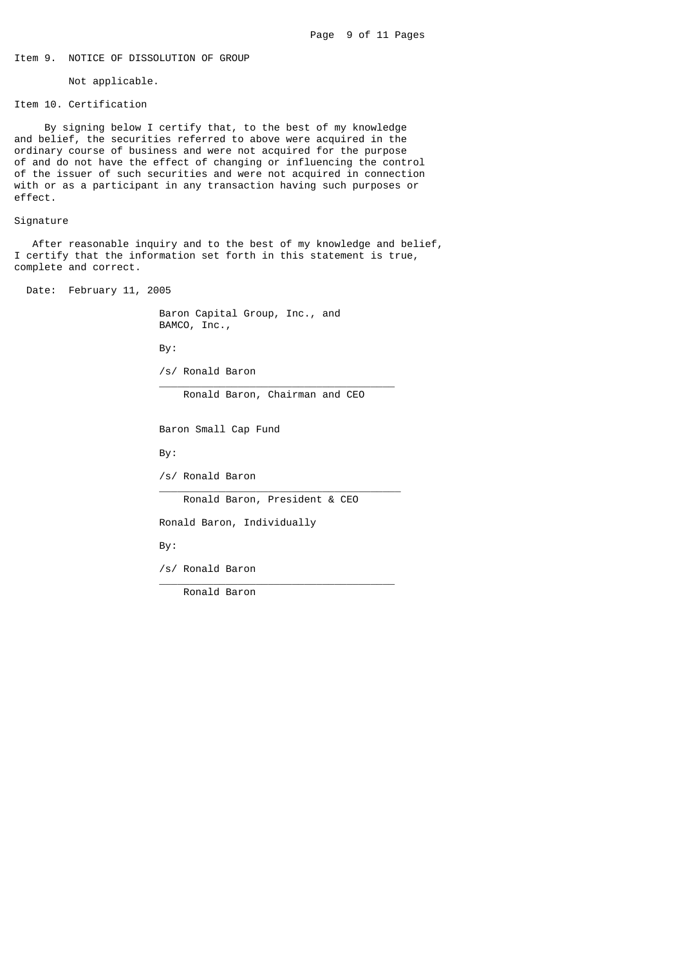### Item 9. NOTICE OF DISSOLUTION OF GROUP

Not applicable.

Item 10. Certification

 By signing below I certify that, to the best of my knowledge and belief, the securities referred to above were acquired in the ordinary course of business and were not acquired for the purpose of and do not have the effect of changing or influencing the control of the issuer of such securities and were not acquired in connection with or as a participant in any transaction having such purposes or effect.

#### Signature

 After reasonable inquiry and to the best of my knowledge and belief, I certify that the information set forth in this statement is true, complete and correct.

Date: February 11, 2005

 Baron Capital Group, Inc., and BAMCO, Inc.,

By:

 /s/ Ronald Baron  $\overline{\phantom{a}}$  , and the state of the state of the state of the state of the state of the state of the state of the state of the state of the state of the state of the state of the state of the state of the state of the stat

Ronald Baron, Chairman and CEO

Baron Small Cap Fund

By:

 /s/ Ronald Baron  $\overline{\phantom{a}}$  , and the state of the state of the state of the state of the state of the state of the state of the state of the state of the state of the state of the state of the state of the state of the state of the stat

Ronald Baron, President & CEO

Ronald Baron, Individually

By:

 /s/ Ronald Baron  $\frac{1}{2}$  , and the set of the set of the set of the set of the set of the set of the set of the set of the set of the set of the set of the set of the set of the set of the set of the set of the set of the set of the set

Ronald Baron